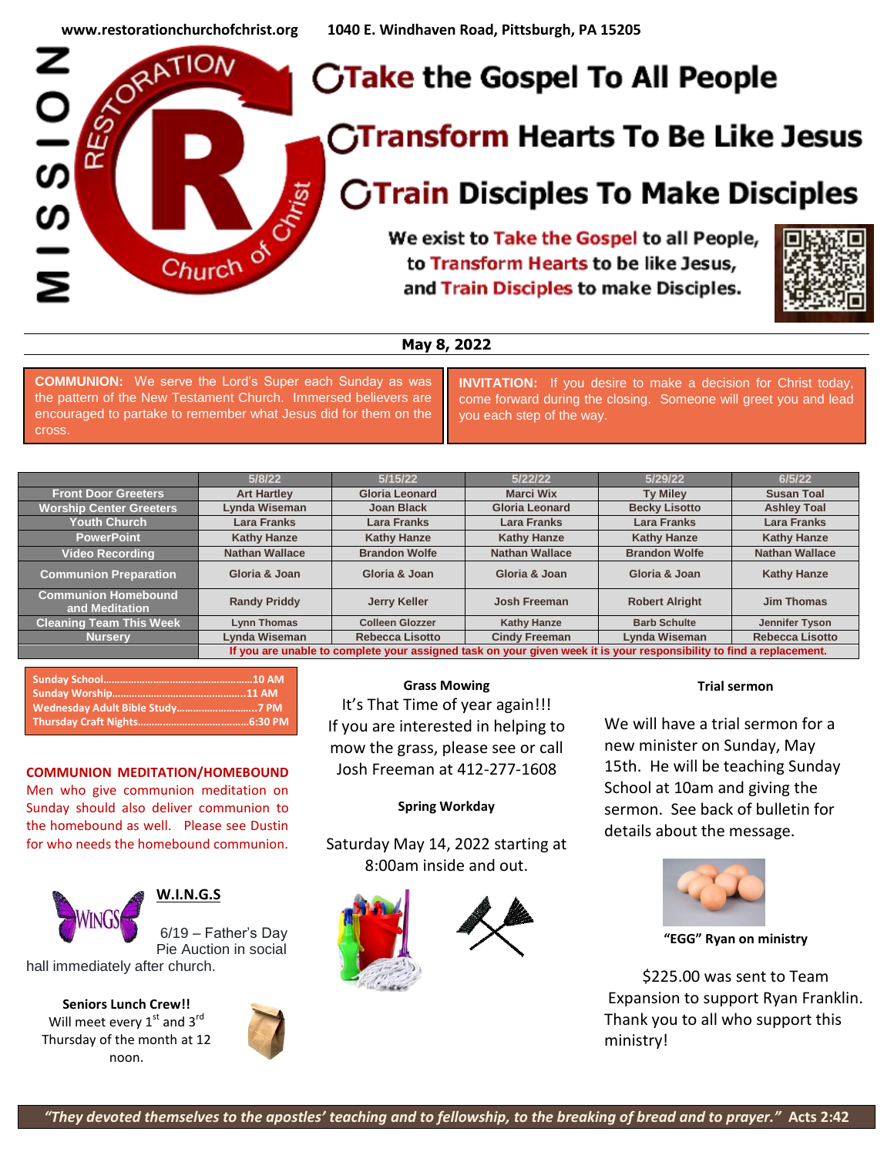

# **May 8, 2022**

**COMMUNION:** We serve the Lord's Super each Sunday as was the pattern of the New Testament Church. Immersed believers are encouraged to partake to remember what Jesus did for them on the cross.

**INVITATION:** If you desire to make a decision for Christ today, come forward during the closing. Someone will greet you and lead you each step of the way.

|                                              | 5/8/22                                                                                                               | 5/15/22                | 5/22/22               | 5/29/22               | 6/5/22                 |
|----------------------------------------------|----------------------------------------------------------------------------------------------------------------------|------------------------|-----------------------|-----------------------|------------------------|
| <b>Front Door Greeters</b>                   | <b>Art Hartley</b>                                                                                                   | <b>Gloria Leonard</b>  | <b>Marci Wix</b>      | <b>Ty Miley</b>       | <b>Susan Toal</b>      |
| <b>Worship Center Greeters</b>               | Lynda Wiseman                                                                                                        | Joan Black             | <b>Gloria Leonard</b> | <b>Becky Lisotto</b>  | <b>Ashley Toal</b>     |
| <b>Youth Church</b>                          | Lara Franks                                                                                                          | <b>Lara Franks</b>     | Lara Franks           | Lara Franks           | <b>Lara Franks</b>     |
| <b>PowerPoint</b>                            | <b>Kathy Hanze</b>                                                                                                   | <b>Kathy Hanze</b>     | <b>Kathy Hanze</b>    | <b>Kathy Hanze</b>    | <b>Kathy Hanze</b>     |
| <b>Video Recording</b>                       | <b>Nathan Wallace</b>                                                                                                | <b>Brandon Wolfe</b>   | <b>Nathan Wallace</b> | <b>Brandon Wolfe</b>  | <b>Nathan Wallace</b>  |
| <b>Communion Preparation</b>                 | Gloria & Joan                                                                                                        | Gloria & Joan          | Gloria & Joan         | Gloria & Joan         | <b>Kathy Hanze</b>     |
| <b>Communion Homebound</b><br>and Meditation | <b>Randy Priddy</b>                                                                                                  | <b>Jerry Keller</b>    | Josh Freeman          | <b>Robert Alright</b> | Jim Thomas             |
| <b>Cleaning Team This Week</b>               | <b>Lynn Thomas</b>                                                                                                   | <b>Colleen Glozzer</b> | <b>Kathy Hanze</b>    | <b>Barb Schulte</b>   | Jennifer Tyson         |
| <b>Nursery</b>                               | Lynda Wiseman                                                                                                        | <b>Rebecca Lisotto</b> | <b>Cindy Freeman</b>  | Lynda Wiseman         | <b>Rebecca Lisotto</b> |
|                                              | If you are unable to complete your assigned task on your given week it is your responsibility to find a replacement. |                        |                       |                       |                        |

#### **COMMUNION MEDITATION/HOMEBOUND**

Men who give communion meditation on Sunday should also deliver communion to the homebound as well. Please see Dustin for who needs the homebound communion.



## **W.I.N.G.S**

6/19 – Father's Day Pie Auction in social

hall immediately after church.

**Seniors Lunch Crew!!** Will meet every  $1<sup>st</sup>$  and  $3<sup>rd</sup>$ Thursday of the month at 12 noon.



#### **Grass Mowing**

It's That Time of year again!!! If you are interested in helping to mow the grass, please see or call Josh Freeman at 412-277-1608

### **Spring Workday**

Saturday May 14, 2022 starting at 8:00am inside and out.



# sermon. See back of bulletin for details about the message.



**"EGG" Ryan on ministry**

**Trial sermon**

We will have a trial sermon for a new minister on Sunday, May 15th. He will be teaching Sunday School at 10am and giving the

\$225.00 was sent to Team Expansion to support Ryan Franklin. Thank you to all who support this ministry!

*"They devoted themselves to the apostles' teaching and to fellowship, to the breaking of bread and to prayer."* **Acts 2:42**